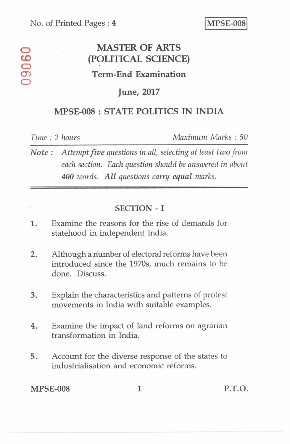#### No. of Printed Pages : 4 **MPSE-008**

# **MASTER OF ARTS**  MASTER OF ARTS<br>
(POLITICAL SCIENCE)<br>
Term-End Examination **CY) Term-End Examination**

#### **June, 2017**

### **MPSE-008 : STATE POLITICS IN INDIA**

*Time :* 2 *hours Maximum Marks : 50* 

*Note : Attempt five questions in all, selecting at least two from each section. Each question should be answered in about 400 words. All questions carry equal marks.* 

#### SECTION - I

- 1. Examine the reasons for the rise of demands for statehood in independent India.
- 2. Although a number of electoral reforms have been introduced since the 1970s, much remains to be done. Discuss.
- 3. Explain the characteristics and patterns of protest movements in India with suitable examples.
- 4. Examine the impact of land reforms on agrarian transformation in India.
- 5. Account for the diverse response of the states to industrialisation and economic reforms.

MPSE-008 1 P.T.O.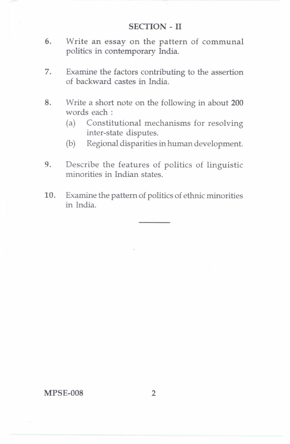#### **SECTION - II**

- **6.** Write an essay on the pattern of communal politics in contemporary India.
- 7. Examine the factors contributing to the assertion of backward castes in India.
- 8. Write a short note on the following in about **200**  words each :
	- (a) Constitutional mechanisms for resolving inter-state disputes.
	- (b) Regional disparities in human development.
- 9. Describe the features of politics of linguistic minorities in Indian states.
- **10.** Examine the pattern of politics of ethnic minorities in India.

#### **MPSE-008 2**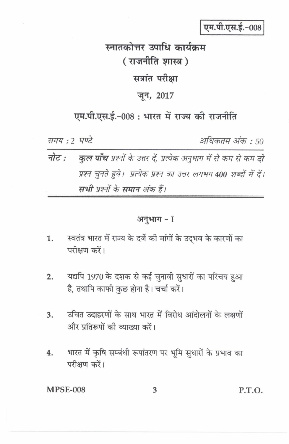एम.पी.एस.ई.-008

# स्नातकोत्तर उपाधि कार्यक्रम (राजनीति शास्त्र) सत्रांत परीक्षा जून, 2017

## एम.पी.एस.ई.-008: भारत में राज्य की राजनीति

समय : २ घण्टे

अधिकतम अंक : 50

नोट : **कुल पाँच** प्रश्नों के उत्तर दें, प्रत्येक अनुभाग में से कम से कम **दो** प्रश्न चुनते हुये। प्रत्येक प्रश्न का उत्तर लगभग 400 शब्दों में दें। सभी पश्नों के समान अंक हैं।

अनुभाग - I

- स्वतंत्र भारत में राज्य के दर्जे की मांगों के उदभव के कारणों का  $\mathbf{1}$ . परीक्षण करें।
- यद्यपि 1970 के दशक से कई चुनावी सुधारों का परिचय हुआ  $2.$ है, तथापि काफी कछ होना है। चर्चा करें।
- उचित उदाहरणों के साथ भारत में विरोध आंदोलनों के लक्षणों 3. और प्रतिरूपों की व्याख्या करें।
- भारत में कृषि सम्बंधी रूपांतरण पर भूमि सुधारों के प्रभाव का 4. परीक्षण करें।

**MPSE-008** 

3

P.T.O.